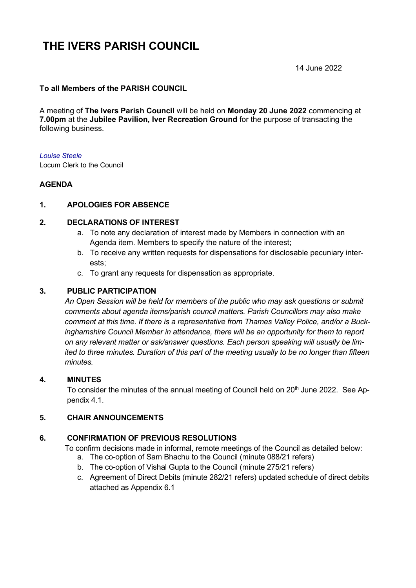# **THE IVERS PARISH COUNCIL**

14 June 2022

# **To all Members of the PARISH COUNCIL**

A meeting of **The Ivers Parish Council** will be held on **Monday 20 June 2022** commencing at **7.00pm** at the **Jubilee Pavilion, Iver Recreation Ground** for the purpose of transacting the following business.

#### *Louise Steele*

Locum Clerk to the Council

## **AGENDA**

#### **1. APOLOGIES FOR ABSENCE**

#### **2. DECLARATIONS OF INTEREST**

- a. To note any declaration of interest made by Members in connection with an Agenda item. Members to specify the nature of the interest;
- b. To receive any written requests for dispensations for disclosable pecuniary interests;
- c. To grant any requests for dispensation as appropriate.

#### **3. PUBLIC PARTICIPATION**

*An Open Session will be held for members of the public who may ask questions or submit comments about agenda items/parish council matters. Parish Councillors may also make comment at this time. If there is a representative from Thames Valley Police, and/or a Buckinghamshire Council Member in attendance, there will be an opportunity for them to report on any relevant matter or ask/answer questions. Each person speaking will usually be limited to three minutes. Duration of this part of the meeting usually to be no longer than fifteen minutes.*

#### **4. MINUTES**

To consider the minutes of the annual meeting of Council held on 20<sup>th</sup> June 2022. See Appendix 4.1.

## **5. CHAIR ANNOUNCEMENTS**

# **6. CONFIRMATION OF PREVIOUS RESOLUTIONS**

To confirm decisions made in informal, remote meetings of the Council as detailed below:

- a. The co-option of Sam Bhachu to the Council (minute 088/21 refers)
- b. The co-option of Vishal Gupta to the Council (minute 275/21 refers)
- c. Agreement of Direct Debits (minute 282/21 refers) updated schedule of direct debits attached as Appendix 6.1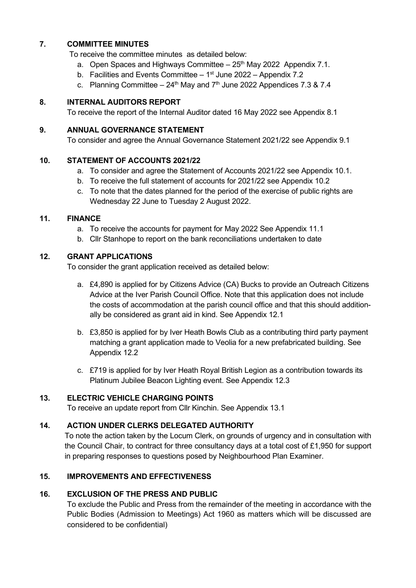# **7. COMMITTEE MINUTES**

To receive the committee minutes as detailed below:

- a. Open Spaces and Highways Committee  $-25<sup>th</sup>$  May 2022 Appendix 7.1.
- b. Facilities and Events Committee  $-1<sup>st</sup>$  June 2022 Appendix 7.2
- c. Planning Committee  $-24$ <sup>th</sup> May and  $7<sup>th</sup>$  June 2022 Appendices 7.3 & 7.4

## **8. INTERNAL AUDITORS REPORT**

To receive the report of the Internal Auditor dated 16 May 2022 see Appendix 8.1

## **9. ANNUAL GOVERNANCE STATEMENT**

To consider and agree the Annual Governance Statement 2021/22 see Appendix 9.1

## **10. STATEMENT OF ACCOUNTS 2021/22**

- a. To consider and agree the Statement of Accounts 2021/22 see Appendix 10.1.
- b. To receive the full statement of accounts for 2021/22 see Appendix 10.2
- c. To note that the dates planned for the period of the exercise of public rights are Wednesday 22 June to Tuesday 2 August 2022.

## **11. FINANCE**

- a. To receive the accounts for payment for May 2022 See Appendix 11.1
- b. Cllr Stanhope to report on the bank reconciliations undertaken to date

# **12. GRANT APPLICATIONS**

To consider the grant application received as detailed below:

- a. £4,890 is applied for by Citizens Advice (CA) Bucks to provide an Outreach Citizens Advice at the Iver Parish Council Office. Note that this application does not include the costs of accommodation at the parish council office and that this should additionally be considered as grant aid in kind. See Appendix 12.1
- b. £3,850 is applied for by Iver Heath Bowls Club as a contributing third party payment matching a grant application made to Veolia for a new prefabricated building. See Appendix 12.2
- c. £719 is applied for by Iver Heath Royal British Legion as a contribution towards its Platinum Jubilee Beacon Lighting event. See Appendix 12.3

# **13. ELECTRIC VEHICLE CHARGING POINTS**

To receive an update report from Cllr Kinchin. See Appendix 13.1

# **14. ACTION UNDER CLERKS DELEGATED AUTHORITY**

To note the action taken by the Locum Clerk, on grounds of urgency and in consultation with the Council Chair, to contract for three consultancy days at a total cost of £1,950 for support in preparing responses to questions posed by Neighbourhood Plan Examiner.

# **15. IMPROVEMENTS AND EFFECTIVENESS**

# **16. EXCLUSION OF THE PRESS AND PUBLIC**

To exclude the Public and Press from the remainder of the meeting in accordance with the Public Bodies (Admission to Meetings) Act 1960 as matters which will be discussed are considered to be confidential)